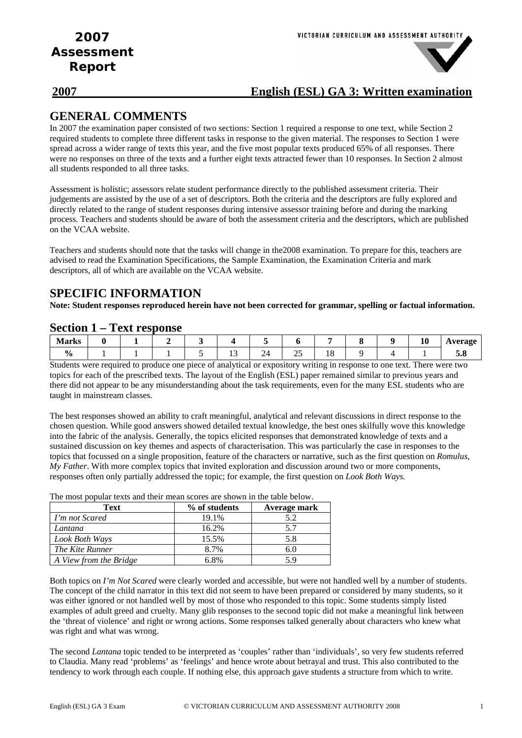# **2007 English (ESL) GA 3: Written examination**

# **GENERAL COMMENTS**

In 2007 the examination paper consisted of two sections: Section 1 required a response to one text, while Section 2 required students to complete three different tasks in response to the given material. The responses to Section 1 were spread across a wider range of texts this year, and the five most popular texts produced 65% of all responses. There were no responses on three of the texts and a further eight texts attracted fewer than 10 responses. In Section 2 almost all students responded to all three tasks.

Assessment is holistic; assessors relate student performance directly to the published assessment criteria. Their judgements are assisted by the use of a set of descriptors. Both the criteria and the descriptors are fully explored and directly related to the range of student responses during intensive assessor training before and during the marking process. Teachers and students should be aware of both the assessment criteria and the descriptors, which are published on the VCAA website.

Teachers and students should note that the tasks will change in the2008 examination. To prepare for this, teachers are advised to read the Examination Specifications, the Sample Examination, the Examination Criteria and mark descriptors, all of which are available on the VCAA website.

# **SPECIFIC INFORMATION**

**Note: Student responses reproduced herein have not been corrected for grammar, spelling or factual information.** 

### **Section 1 – Text response**

| <b>Marks</b>  |  |  |     |                       |          |              |  | -<br>10 | verage<br><b>AMY</b> |
|---------------|--|--|-----|-----------------------|----------|--------------|--|---------|----------------------|
| $\frac{1}{2}$ |  |  | . . | $\overline{4}$<br>- 1 | سد<br>__ | $\sim$<br>10 |  |         | ◡・∪                  |

Students were required to produce one piece of analytical or expository writing in response to one text. There were two topics for each of the prescribed texts. The layout of the English (ESL) paper remained similar to previous years and there did not appear to be any misunderstanding about the task requirements, even for the many ESL students who are taught in mainstream classes.

The best responses showed an ability to craft meaningful, analytical and relevant discussions in direct response to the chosen question. While good answers showed detailed textual knowledge, the best ones skilfully wove this knowledge into the fabric of the analysis. Generally, the topics elicited responses that demonstrated knowledge of texts and a sustained discussion on key themes and aspects of characterisation. This was particularly the case in responses to the topics that focussed on a single proposition, feature of the characters or narrative, such as the first question on *Romulus, My Father*. With more complex topics that invited exploration and discussion around two or more components, responses often only partially addressed the topic; for example, the first question on *Look Both Ways.* 

| The most popular texts and their mean scores are shown in the table below. |               |              |
|----------------------------------------------------------------------------|---------------|--------------|
| Text                                                                       | % of students | Average mark |
| I'm not Scared                                                             | 19.1%         | 5.2          |
| Lantana                                                                    | 16.2%         | 5.7          |
| Look Both Ways                                                             | 15.5%         | 5.8          |
| The Kite Runner                                                            | 8.7%          | 6.0          |
| A View from the Bridge                                                     | 6.8%          | 5.9          |

 $\frac{1}{2}$  moon scores are shown in the table below.

Both topics on *I'm Not Scared* were clearly worded and accessible, but were not handled well by a number of students. The concept of the child narrator in this text did not seem to have been prepared or considered by many students, so it was either ignored or not handled well by most of those who responded to this topic. Some students simply listed examples of adult greed and cruelty. Many glib responses to the second topic did not make a meaningful link between the 'threat of violence' and right or wrong actions. Some responses talked generally about characters who knew what was right and what was wrong.

The second *Lantana* topic tended to be interpreted as 'couples' rather than 'individuals', so very few students referred to Claudia. Many read 'problems' as 'feelings' and hence wrote about betrayal and trust. This also contributed to the tendency to work through each couple. If nothing else, this approach gave students a structure from which to write.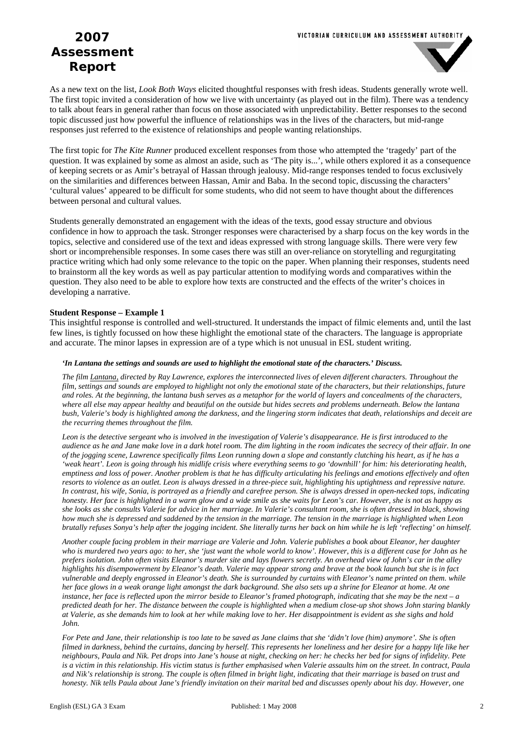

As a new text on the list, *Look Both Ways* elicited thoughtful responses with fresh ideas. Students generally wrote well. The first topic invited a consideration of how we live with uncertainty (as played out in the film). There was a tendency to talk about fears in general rather than focus on those associated with unpredictability. Better responses to the second topic discussed just how powerful the influence of relationships was in the lives of the characters, but mid-range responses just referred to the existence of relationships and people wanting relationships.

The first topic for *The Kite Runner* produced excellent responses from those who attempted the 'tragedy' part of the question. It was explained by some as almost an aside, such as 'The pity is...', while others explored it as a consequence of keeping secrets or as Amir's betrayal of Hassan through jealousy. Mid-range responses tended to focus exclusively on the similarities and differences between Hassan, Amir and Baba. In the second topic, discussing the characters' 'cultural values' appeared to be difficult for some students, who did not seem to have thought about the differences between personal and cultural values.

Students generally demonstrated an engagement with the ideas of the texts, good essay structure and obvious confidence in how to approach the task. Stronger responses were characterised by a sharp focus on the key words in the topics, selective and considered use of the text and ideas expressed with strong language skills. There were very few short or incomprehensible responses. In some cases there was still an over-reliance on storytelling and regurgitating practice writing which had only some relevance to the topic on the paper. When planning their responses, students need to brainstorm all the key words as well as pay particular attention to modifying words and comparatives within the question. They also need to be able to explore how texts are constructed and the effects of the writer's choices in developing a narrative.

### **Student Response – Example 1**

This insightful response is controlled and well-structured. It understands the impact of filmic elements and, until the last few lines, is tightly focussed on how these highlight the emotional state of the characters. The language is appropriate and accurate. The minor lapses in expression are of a type which is not unusual in ESL student writing.

#### *'In Lantana the settings and sounds are used to highlight the emotional state of the characters.' Discuss.*

*The film Lantana, directed by Ray Lawrence, explores the interconnected lives of eleven different characters. Throughout the film, settings and sounds are employed to highlight not only the emotional state of the characters, but their relationships, future and roles. At the beginning, the lantana bush serves as a metaphor for the world of layers and concealments of the characters, where all else may appear healthy and beautiful on the outside but hides secrets and problems underneath. Below the lantana bush, Valerie's body is highlighted among the darkness, and the lingering storm indicates that death, relationships and deceit are the recurring themes throughout the film.* 

Leon is the detective sergeant who is involved in the investigation of Valerie's disappearance. He is first introduced to the *audience as he and Jane make love in a dark hotel room. The dim lighting in the room indicates the secrecy of their affair. In one of the jogging scene, Lawrence specifically films Leon running down a slope and constantly clutching his heart, as if he has a 'weak heart'. Leon is going through his midlife crisis where everything seems to go 'downhill' for him: his deteriorating health, emptiness and loss of power. Another problem is that he has difficulty articulating his feelings and emotions effectively and often resorts to violence as an outlet. Leon is always dressed in a three-piece suit, highlighting his uptightness and repressive nature. In contrast, his wife, Sonia, is portrayed as a friendly and carefree person. She is always dressed in open-necked tops, indicating honesty. Her face is highlighted in a warm glow and a wide smile as she waits for Leon's car. However, she is not as happy as she looks as she consults Valerie for advice in her marriage. In Valerie's consultant room, she is often dressed in black, showing how much she is depressed and saddened by the tension in the marriage. The tension in the marriage is highlighted when Leon brutally refuses Sonya's help after the jogging incident. She literally turns her back on him while he is left 'reflecting' on himself.* 

*Another couple facing problem in their marriage are Valerie and John. Valerie publishes a book about Eleanor, her daughter who is murdered two years ago: to her, she 'just want the whole world to know'. However, this is a different case for John as he prefers isolation. John often visits Eleanor's murder site and lays flowers secretly. An overhead view of John's car in the alley highlights his disempowerment by Eleanor's death. Valerie may appear strong and brave at the book launch but she is in fact vulnerable and deeply engrossed in Eleanor's death. She is surrounded by curtains with Eleanor's name printed on them. while her face glows in a weak orange light amongst the dark background. She also sets up a shrine for Eleanor at home. At one instance, her face is reflected upon the mirror beside to Eleanor's framed photograph, indicating that she may be the next – a predicted death for her. The distance between the couple is highlighted when a medium close-up shot shows John staring blankly at Valerie, as she demands him to look at her while making love to her. Her disappointment is evident as she sighs and hold John.* 

*For Pete and Jane, their relationship is too late to be saved as Jane claims that she 'didn't love (him) anymore'. She is often filmed in darkness, behind the curtains, dancing by herself. This represents her loneliness and her desire for a happy life like her neighbours, Paula and Nik. Pet drops into Jane's house at night, checking on her: he checks her bed for signs of infidelity. Pete is a victim in this relationship. His victim status is further emphasised when Valerie assaults him on the street. In contract, Paula and Nik's relationship is strong. The couple is often filmed in bright light, indicating that their marriage is based on trust and honesty. Nik tells Paula about Jane's friendly invitation on their marital bed and discusses openly about his day. However, one*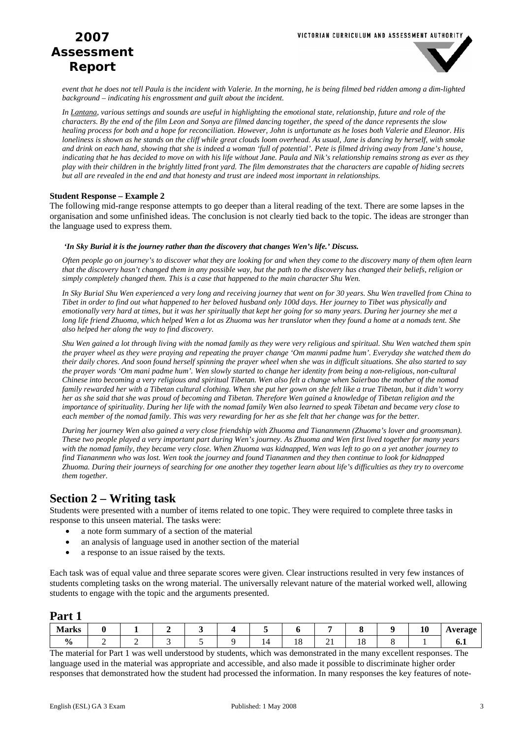

*event that he does not tell Paula is the incident with Valerie. In the morning, he is being filmed bed ridden among a dim-lighted background – indicating his engrossment and guilt about the incident.* 

*In Lantana, various settings and sounds are useful in highlighting the emotional state, relationship, future and role of the characters. By the end of the film Leon and Sonya are filmed dancing together, the speed of the dance represents the slow healing process for both and a hope for reconciliation. However, John is unfortunate as he loses both Valerie and Eleanor. His loneliness is shown as he stands on the cliff while great clouds loom overhead. As usual, Jane is dancing by herself, with smoke and drink on each hand, showing that she is indeed a woman 'full of potential'. Pete is filmed driving away from Jane's house, indicating that he has decided to move on with his life without Jane. Paula and Nik's relationship remains strong as ever as they play with their children in the brightly litted front yard. The film demonstrates that the characters are capable of hiding secrets but all are revealed in the end and that honesty and trust are indeed most important in relationships.* 

#### **Student Response – Example 2**

The following mid-range response attempts to go deeper than a literal reading of the text. There are some lapses in the organisation and some unfinished ideas. The conclusion is not clearly tied back to the topic. The ideas are stronger than the language used to express them.

#### *'In Sky Burial it is the journey rather than the discovery that changes Wen's life.' Discuss.*

*Often people go on journey's to discover what they are looking for and when they come to the discovery many of them often learn that the discovery hasn't changed them in any possible way, but the path to the discovery has changed their beliefs, religion or simply completely changed them. This is a case that happened to the main character Shu Wen.* 

*In Sky Burial Shu Wen experienced a very long and receiving journey that went on for 30 years. Shu Wen travelled from China to Tibet in order to find out what happened to her beloved husband only 100d days. Her journey to Tibet was physically and emotionally very hard at times, but it was her spiritually that kept her going for so many years. During her journey she met a long life friend Zhuoma, which helped Wen a lot as Zhuoma was her translator when they found a home at a nomads tent. She also helped her along the way to find discovery.* 

*Shu Wen gained a lot through living with the nomad family as they were very religious and spiritual. Shu Wen watched them spin the prayer wheel as they were praying and repeating the prayer change 'Om manmi padme hum'. Everyday she watched them do their daily chores. And soon found herself spinning the prayer wheel when she was in difficult situations. She also started to say the prayer words 'Om mani padme hum'. Wen slowly started to change her identity from being a non-religious, non-cultural Chinese into becoming a very religious and spiritual Tibetan. Wen also felt a change when Saierbao the mother of the nomad family rewarded her with a Tibetan cultural clothing. When she put her gown on she felt like a true Tibetan, but it didn't worry her as she said that she was proud of becoming and Tibetan. Therefore Wen gained a knowledge of Tibetan religion and the importance of spirituality. During her life with the nomad family Wen also learned to speak Tibetan and became very close to each member of the nomad family. This was very rewarding for her as she felt that her change was for the better.* 

*During her journey Wen also gained a very close friendship with Zhuoma and Tiananmenn (Zhuoma's lover and groomsman). These two people played a very important part during Wen's journey. As Zhuoma and Wen first lived together for many years with the nomad family, they became very close. When Zhuoma was kidnapped, Wen was left to go on a yet another journey to find Tiananmenn who was lost. Wen took the journey and found Tiananmen and they then continue to look for kidnapped Zhuoma. During their journeys of searching for one another they together learn about life's difficulties as they try to overcome them together.* 

# **Section 2 – Writing task**

Students were presented with a number of items related to one topic. They were required to complete three tasks in response to this unseen material. The tasks were:

- a note form summary of a section of the material
- an analysis of language used in another section of the material
- a response to an issue raised by the texts.

Each task was of equal value and three separate scores were given. Clear instructions resulted in very few instances of students completing tasks on the wrong material. The universally relevant nature of the material worked well, allowing students to engage with the topic and the arguments presented.

### **Part 1**

| <b>Marks</b>  |  |  |   |    |   |        | 10 | 4 vergoe<br>*ອ |
|---------------|--|--|---|----|---|--------|----|----------------|
| $\frac{1}{2}$ |  |  | - | 10 | ∸ | <br>10 |    | v.i            |

The material for Part 1 was well understood by students, which was demonstrated in the many excellent responses. The language used in the material was appropriate and accessible, and also made it possible to discriminate higher order responses that demonstrated how the student had processed the information. In many responses the key features of note-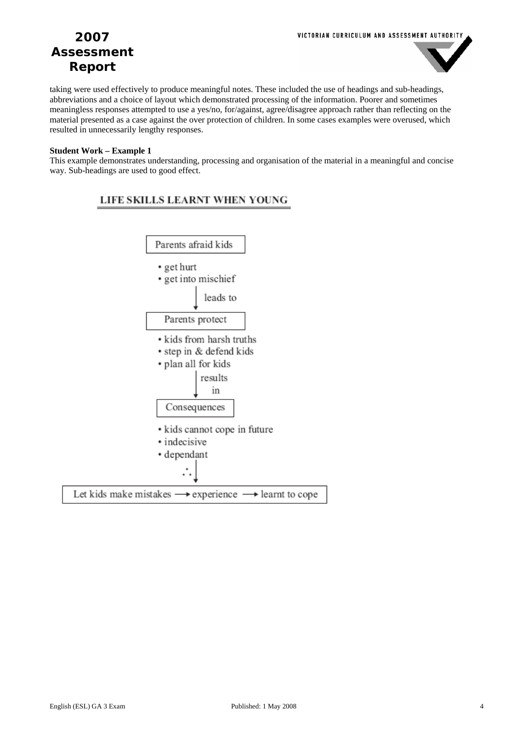

taking were used effectively to produce meaningful notes. These included the use of headings and sub-headings, abbreviations and a choice of layout which demonstrated processing of the information. Poorer and sometimes meaningless responses attempted to use a yes/no, for/against, agree/disagree approach rather than reflecting on the material presented as a case against the over protection of children. In some cases examples were overused, which resulted in unnecessarily lengthy responses.

### **Student Work – Example 1**

This example demonstrates understanding, processing and organisation of the material in a meaningful and concise way. Sub-headings are used to good effect.

### LIFE SKILLS LEARNT WHEN YOUNG

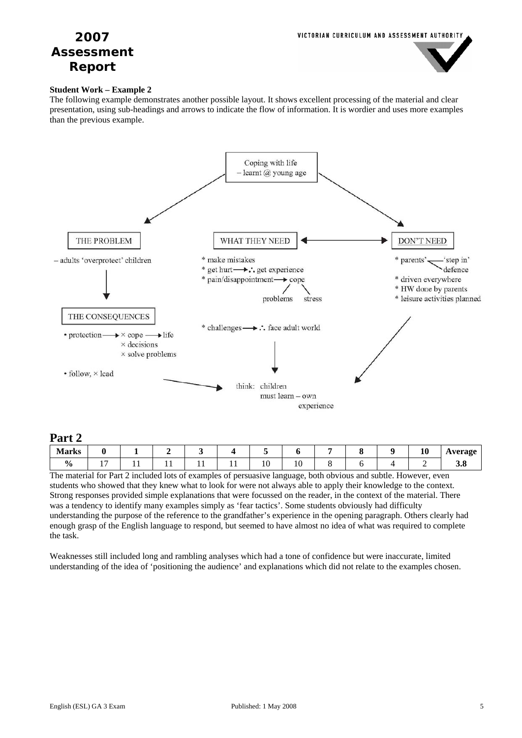

### **Student Work – Example 2**

The following example demonstrates another possible layout. It shows excellent processing of the material and clear presentation, using sub-headings and arrows to indicate the flow of information. It is wordier and uses more examples than the previous example.



## **Part 2**

| $\sim$ $\sim$ $\sim$ $\sim$ |            |     |     |               |    |  |    |                |
|-----------------------------|------------|-----|-----|---------------|----|--|----|----------------|
| Jorks<br><b>IVIAI KS</b>    |            |     |     |               |    |  | 10 | <b>Average</b> |
| $\frac{6}{10}$              | . <b>.</b> | . . | . . | $\sim$<br>1 V | 10 |  | -  | J.O            |

The material for Part 2 included lots of examples of persuasive language, both obvious and subtle. However, even students who showed that they knew what to look for were not always able to apply their knowledge to the context. Strong responses provided simple explanations that were focussed on the reader, in the context of the material. There was a tendency to identify many examples simply as 'fear tactics'. Some students obviously had difficulty understanding the purpose of the reference to the grandfather's experience in the opening paragraph. Others clearly had enough grasp of the English language to respond, but seemed to have almost no idea of what was required to complete the task.

Weaknesses still included long and rambling analyses which had a tone of confidence but were inaccurate, limited understanding of the idea of 'positioning the audience' and explanations which did not relate to the examples chosen.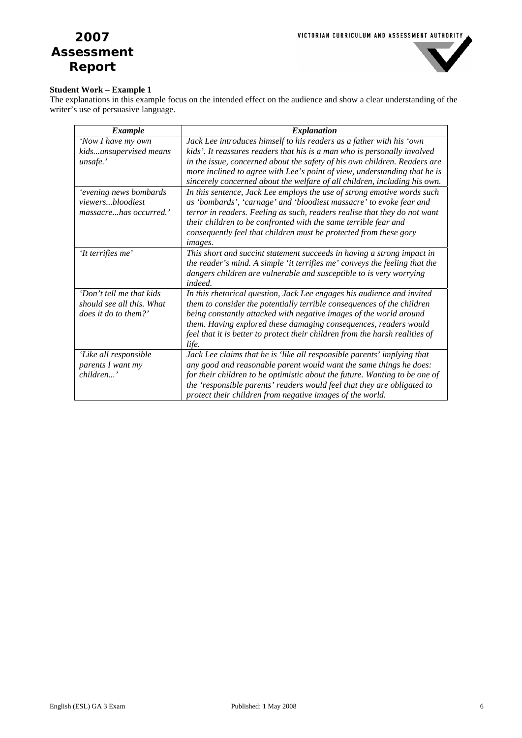

### **Student Work – Example 1**

The explanations in this example focus on the intended effect on the audience and show a clear understanding of the writer's use of persuasive language.

| <b>Example</b>            | <i>Explanation</i>                                                           |
|---------------------------|------------------------------------------------------------------------------|
| 'Now I have my own        | Jack Lee introduces himself to his readers as a father with his 'own         |
| kidsunsupervised means    | kids'. It reassures readers that his is a man who is personally involved     |
| unsafe.'                  | in the issue, concerned about the safety of his own children. Readers are    |
|                           | more inclined to agree with Lee's point of view, understanding that he is    |
|                           | sincerely concerned about the welfare of all children, including his own.    |
| 'evening news bombards    | In this sentence, Jack Lee employs the use of strong emotive words such      |
| viewersbloodiest          | as 'bombards', 'carnage' and 'bloodiest massacre' to evoke fear and          |
| massacrehas occurred.'    | terror in readers. Feeling as such, readers realise that they do not want    |
|                           | their children to be confronted with the same terrible fear and              |
|                           | consequently feel that children must be protected from these gory            |
|                           | images.                                                                      |
| 'It terrifies me'         | This short and succint statement succeeds in having a strong impact in       |
|                           | the reader's mind. A simple 'it terrifies me' conveys the feeling that the   |
|                           | dangers children are vulnerable and susceptible to is very worrying          |
|                           | indeed.                                                                      |
| 'Don't tell me that kids  | In this rhetorical question, Jack Lee engages his audience and invited       |
| should see all this. What | them to consider the potentially terrible consequences of the children       |
| does it do to them?'      | being constantly attacked with negative images of the world around           |
|                           | them. Having explored these damaging consequences, readers would             |
|                           | feel that it is better to protect their children from the harsh realities of |
|                           | life.                                                                        |
| 'Like all responsible     | Jack Lee claims that he is 'like all responsible parents' implying that      |
| parents I want my         | any good and reasonable parent would want the same things he does:           |
| children'                 | for their children to be optimistic about the future. Wanting to be one of   |
|                           | the 'responsible parents' readers would feel that they are obligated to      |
|                           | protect their children from negative images of the world.                    |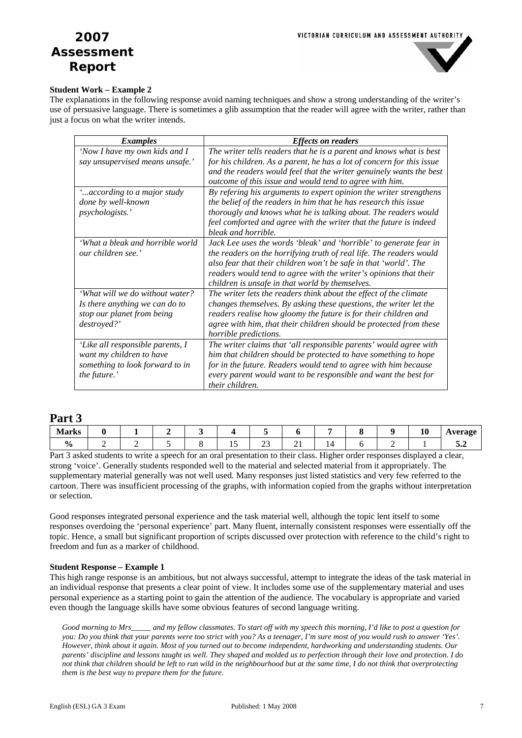

### **Student Work – Example 2**

The explanations in the following response avoid naming techniques and show a strong understanding of the writer's use of persuasive language. There is sometimes a glib assumption that the reader will agree with the writer, rather than just a focus on what the writer intends.

| <b>Examples</b>                  | <b>Effects on readers</b>                                             |
|----------------------------------|-----------------------------------------------------------------------|
| 'Now I have my own kids and I    | The writer tells readers that he is a parent and knows what is best   |
| say unsupervised means unsafe.'  | for his children. As a parent, he has a lot of concern for this issue |
|                                  | and the readers would feel that the writer genuinely wants the best   |
|                                  | outcome of this issue and would tend to agree with him.               |
| " according to a major study"    | By refering his arguments to expert opinion the writer strengthens    |
| done by well-known               | the belief of the readers in him that he has research this issue      |
| <i>psychologists.</i> '          | thorougly and knows what he is talking about. The readers would       |
|                                  | feel comforted and agree with the writer that the future is indeed    |
|                                  | bleak and horrible.                                                   |
| 'What a bleak and horrible world | Jack Lee uses the words 'bleak' and 'horrible' to generate fear in    |
| our children see.'               | the readers on the horrifying truth of real life. The readers would   |
|                                  | also fear that their children won't be safe in that 'world'. The      |
|                                  | readers would tend to agree with the writer's opinions that their     |
|                                  | children is unsafe in that world by themselves.                       |
| 'What will we do without water?  | The writer lets the readers think about the effect of the climate     |
| Is there anything we can do to   | changes themselves. By asking these questions, the writer let the     |
| stop our planet from being       | readers realise how gloomy the future is for their children and       |
| destroyed?'                      | agree with him, that their children should be protected from these    |
|                                  | <i>horrible predictions.</i>                                          |
| 'Like all responsible parents, I | The writer claims that 'all responsible parents' would agree with     |
| want my children to have         | him that children should be protected to have something to hope       |
| something to look forward to in  | for in the future. Readers would tend to agree with him because       |
| the future.'                     | every parent would want to be responsible and want the best for       |
|                                  | their children.                                                       |

## **Part 3**

| . Morks<br><b>IVIAI N.Y</b> |  |  |           |     |  | $\mathbf{v}$ | erage<br>age<br>. .<br>. |
|-----------------------------|--|--|-----------|-----|--|--------------|--------------------------|
| $\mathbf o$<br>70           |  |  | - -<br>-- | . . |  |              | $\overline{\phantom{a}}$ |

Part 3 asked students to write a speech for an oral presentation to their class. Higher order responses displayed a clear, strong 'voice'. Generally students responded well to the material and selected material from it appropriately. The supplementary material generally was not well used. Many responses just listed statistics and very few referred to the cartoon. There was insufficient processing of the graphs, with information copied from the graphs without interpretation or selection.

Good responses integrated personal experience and the task material well, although the topic lent itself to some responses overdoing the 'personal experience' part. Many fluent, internally consistent responses were essentially off the topic. Hence, a small but significant proportion of scripts discussed over protection with reference to the child's right to freedom and fun as a marker of childhood.

### **Student Response – Example 1**

This high range response is an ambitious, but not always successful, attempt to integrate the ideas of the task material in an individual response that presents a clear point of view. It includes some use of the supplementary material and uses personal experience as a starting point to gain the attention of the audience. The vocabulary is appropriate and varied even though the language skills have some obvious features of second language writing.

*Good morning to Mrs\_\_\_\_\_ and my fellow classmates. To start off with my speech this morning, I'd like to post a question for you: Do you think that your parents were too strict with you? As a teenager, I'm sure most of you would rush to answer 'Yes'. However, think about it again. Most of you turned out to become independent, hardworking and understanding students. Our parents' discipline and lessons taught us well. They shaped and molded us to perfection through their love and protection. I do not think that children should be left to run wild in the neighbourhood but at the same time, I do not think that overprotecting them is the best way to prepare them for the future.*